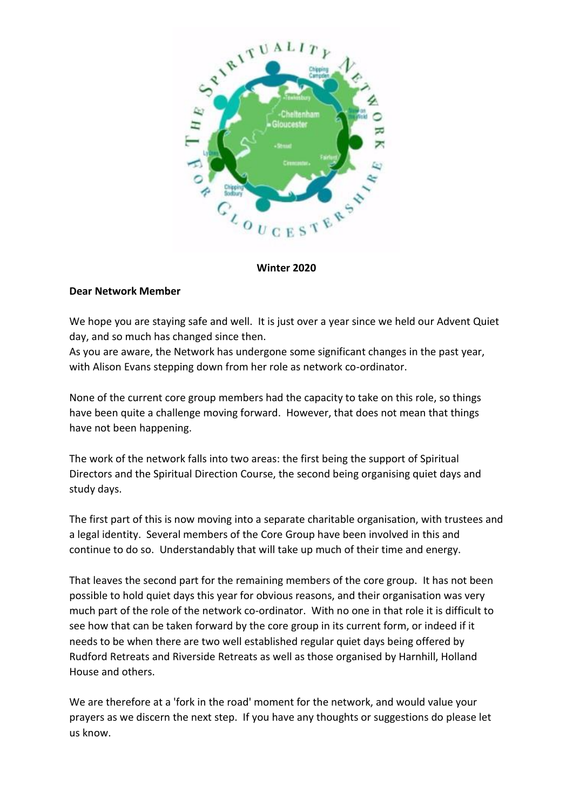

## **Winter 2020**

## **Dear Network Member**

We hope you are staying safe and well. It is just over a year since we held our Advent Quiet day, and so much has changed since then.

As you are aware, the Network has undergone some significant changes in the past year, with Alison Evans stepping down from her role as network co-ordinator.

None of the current core group members had the capacity to take on this role, so things have been quite a challenge moving forward. However, that does not mean that things have not been happening.

The work of the network falls into two areas: the first being the support of Spiritual Directors and the Spiritual Direction Course, the second being organising quiet days and study days.

The first part of this is now moving into a separate charitable organisation, with trustees and a legal identity. Several members of the Core Group have been involved in this and continue to do so. Understandably that will take up much of their time and energy.

That leaves the second part for the remaining members of the core group. It has not been possible to hold quiet days this year for obvious reasons, and their organisation was very much part of the role of the network co-ordinator. With no one in that role it is difficult to see how that can be taken forward by the core group in its current form, or indeed if it needs to be when there are two well established regular quiet days being offered by Rudford Retreats and Riverside Retreats as well as those organised by Harnhill, Holland House and others.

We are therefore at a 'fork in the road' moment for the network, and would value your prayers as we discern the next step. If you have any thoughts or suggestions do please let us know.